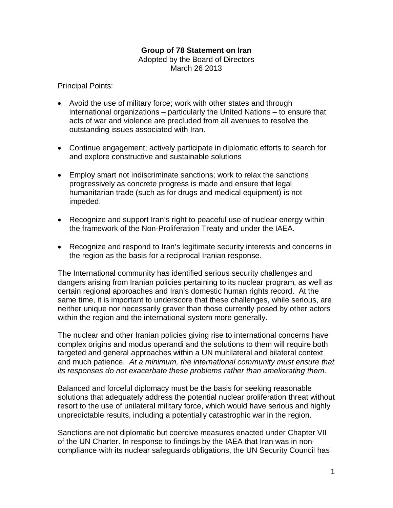## **Group of 78 Statement on Iran**

Adopted by the Board of Directors March 26 2013

Principal Points:

- Avoid the use of military force; work with other states and through international organizations – particularly the United Nations – to ensure that acts of war and violence are precluded from all avenues to resolve the outstanding issues associated with Iran.
- Continue engagement; actively participate in diplomatic efforts to search for and explore constructive and sustainable solutions
- Employ smart not indiscriminate sanctions; work to relax the sanctions progressively as concrete progress is made and ensure that legal humanitarian trade (such as for drugs and medical equipment) is not impeded.
- Recognize and support Iran's right to peaceful use of nuclear energy within the framework of the Non-Proliferation Treaty and under the IAEA.
- Recognize and respond to Iran's legitimate security interests and concerns in the region as the basis for a reciprocal Iranian response.

The International community has identified serious security challenges and dangers arising from Iranian policies pertaining to its nuclear program, as well as certain regional approaches and Iran's domestic human rights record. At the same time, it is important to underscore that these challenges, while serious, are neither unique nor necessarily graver than those currently posed by other actors within the region and the international system more generally.

The nuclear and other Iranian policies giving rise to international concerns have complex origins and modus operandi and the solutions to them will require both targeted and general approaches within a UN multilateral and bilateral context and much patience. At a minimum, the international community must ensure that its responses do not exacerbate these problems rather than ameliorating them.

Balanced and forceful diplomacy must be the basis for seeking reasonable solutions that adequately address the potential nuclear proliferation threat without resort to the use of unilateral military force, which would have serious and highly unpredictable results, including a potentially catastrophic war in the region.

Sanctions are not diplomatic but coercive measures enacted under Chapter VII of the UN Charter. In response to findings by the IAEA that Iran was in noncompliance with its nuclear safeguards obligations, the UN Security Council has